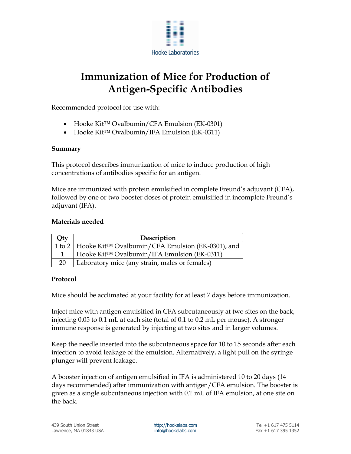

## Immunization of Mice for Production of Antigen-Specific Antibodies

Recommended protocol for use with:

- Hooke Kit™ Ovalbumin/CFA Emulsion (EK-0301)
- Hooke Kit™ Ovalbumin/IFA Emulsion (EK-0311)

## Summary

This protocol describes immunization of mice to induce production of high concentrations of antibodies specific for an antigen.

Mice are immunized with protein emulsified in complete Freund's adjuvant (CFA), followed by one or two booster doses of protein emulsified in incomplete Freund's adjuvant (IFA).

## Materials needed

| Qty | Description                                               |
|-----|-----------------------------------------------------------|
|     | 1 to 2   Hooke Kit™ Ovalbumin/CFA Emulsion (EK-0301), and |
|     | Hooke Kit™ Ovalbumin/IFA Emulsion (EK-0311)               |
| 20  | Laboratory mice (any strain, males or females)            |

## Protocol

Mice should be acclimated at your facility for at least 7 days before immunization.

Inject mice with antigen emulsified in CFA subcutaneously at two sites on the back, injecting 0.05 to 0.1 mL at each site (total of 0.1 to 0.2 mL per mouse). A stronger immune response is generated by injecting at two sites and in larger volumes.

Keep the needle inserted into the subcutaneous space for 10 to 15 seconds after each injection to avoid leakage of the emulsion. Alternatively, a light pull on the syringe plunger will prevent leakage.

A booster injection of antigen emulsified in IFA is administered 10 to 20 days (14 days recommended) after immunization with antigen/CFA emulsion. The booster is given as a single subcutaneous injection with 0.1 mL of IFA emulsion, at one site on the back.